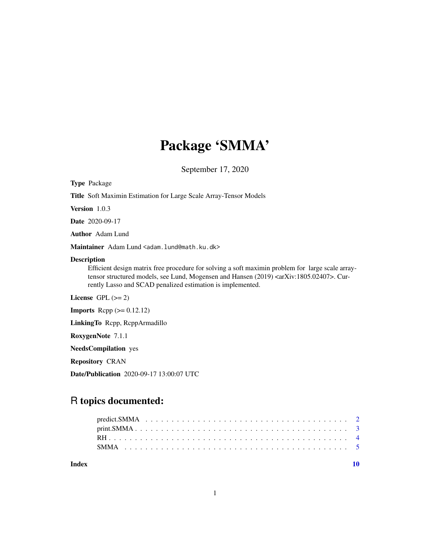## Package 'SMMA'

September 17, 2020

Type Package

Title Soft Maximin Estimation for Large Scale Array-Tensor Models

Version 1.0.3

Date 2020-09-17

Author Adam Lund

Maintainer Adam Lund <adam.lund@math.ku.dk>

#### Description

Efficient design matrix free procedure for solving a soft maximin problem for large scale arraytensor structured models, see Lund, Mogensen and Hansen (2019) <arXiv:1805.02407>. Currently Lasso and SCAD penalized estimation is implemented.

License GPL  $(>= 2)$ 

**Imports** Rcpp  $(>= 0.12.12)$ 

LinkingTo Rcpp, RcppArmadillo

RoxygenNote 7.1.1

NeedsCompilation yes

Repository CRAN

Date/Publication 2020-09-17 13:00:07 UTC

### R topics documented:

 $\blacksquare$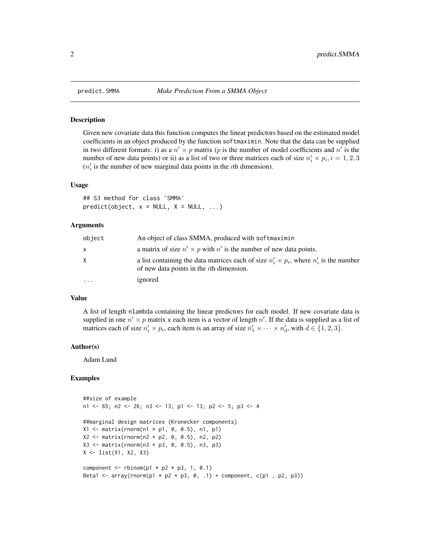#### **Description**

Given new covariate data this function computes the linear predictors based on the estimated model coefficients in an object produced by the function softmaximin. Note that the data can be supplied in two different formats: i) as a  $n' \times p$  matrix (p is the number of model coefficients and n' is the number of new data points) or ii) as a list of two or three matrices each of size  $n'_i \times p_i$ ,  $i = 1, 2, 3$  $(n'_i$  is the number of new marginal data points in the *i*th dimension).

#### Usage

## S3 method for class 'SMMA'  $predict(object, x = NULL, X = NULL, ...)$ 

#### Arguments

| object   | An object of class SMMA, produced with softmaximin                                                                                                  |
|----------|-----------------------------------------------------------------------------------------------------------------------------------------------------|
| x        | a matrix of size $n' \times p$ with n' is the number of new data points.                                                                            |
| X        | a list containing the data matrices each of size $n'_i \times p_i$ , where $n'_i$ is the number<br>of new data points in the <i>i</i> th dimension. |
| $\cdots$ | ignored                                                                                                                                             |

#### Value

A list of length nlambda containing the linear predictors for each model. If new covariate data is supplied in one  $n' \times p$  matrix x each item is a vector of length  $n'$ . If the data is supplied as a list of matrices each of size  $n'_i \times p_i$ , each item is an array of size  $n'_1 \times \cdots \times n'_d$ , with  $d \in \{1, 2, 3\}$ .

#### Author(s)

Adam Lund

#### Examples

```
##size of example
n1 <- 65; n2 <- 26; n3 <- 13; p1 <- 13; p2 <- 5; p3 <- 4
##marginal design matrices (Kronecker components)
X1 <- matrix(rnorm(n1 * p1, 0, 0.5), n1, p1)
X2 \le - matrix(rnorm(n2 * p2, 0, 0.5), n2, p2)
X3 \leq matrix(rnorm(n3 * p3, 0, 0.5), n3, p3)
X <- list(X1, X2, X3)
component \le rbinom(p1 \neq p2 \neq p3, 1, 0.1)
Beta1 <- array(rnorm(p1 * p2 * p3, 0, .1) + component, c(p1 , p2, p3))
```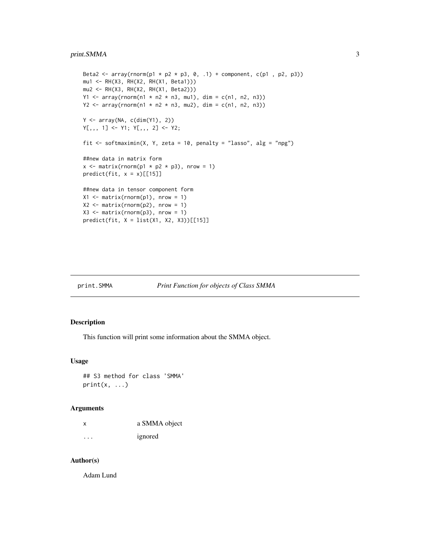```
Beta2 <- array(rnorm(p1 * p2 * p3, 0, .1) + component, c(p1, p2, p3))
mu1 <- RH(X3, RH(X2, RH(X1, Beta1)))
mu2 <- RH(X3, RH(X2, RH(X1, Beta2)))
Y1 <- array(rnorm(n1 * n2 * n3, mu1), dim = c(n1, n2, n3))Y2 <- array(rnorm(n1 * n2 * n3, mu2), dim = c(n1, n2, n3))
Y <- array(NA, c(dim(Y1), 2))
Y[,,, 1] <- Y1; Y[,,, 2] <- Y2;
fit \le softmaximin(X, Y, zeta = 10, penalty = "lasso", alg = "npg")
##new data in matrix form
x \le matrix(rnorm(p1 * p2 * p3), nrow = 1)
predict(fit, x = x)[[15]]##new data in tensor component form
X1 <- matrix(rnorm(p1), nrow = 1)
X2 \le - matrix(rnorm(p2), nrow = 1)
X3 \leq - matrix(rnorm(p3), nrow = 1)
predict(fit, X = list(X1, X2, X3))[[15]]
```
#### print.SMMA *Print Function for objects of Class SMMA*

#### Description

This function will print some information about the SMMA object.

#### Usage

```
## S3 method for class 'SMMA'
print(x, \ldots)
```
#### Arguments

| х       | a SMMA object |
|---------|---------------|
| $\cdot$ | ignored       |

#### Author(s)

Adam Lund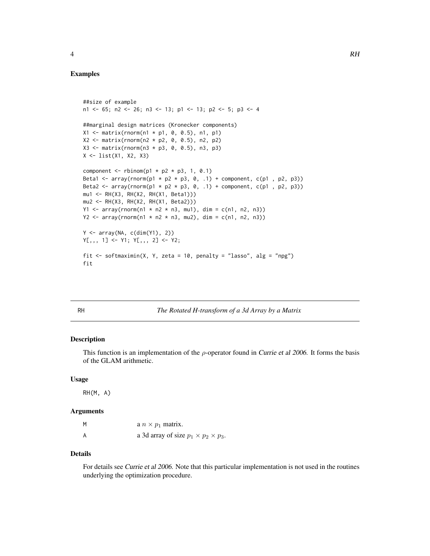#### <span id="page-3-0"></span>Examples

```
##size of example
n1 <- 65; n2 <- 26; n3 <- 13; p1 <- 13; p2 <- 5; p3 <- 4
##marginal design matrices (Kronecker components)
X1 <- matrix(rnorm(n1 * p1, 0, 0.5), n1, p1)
X2 \le - matrix(rnorm(n2 * p2, 0, 0.5), n2, p2)
X3 \leq matrix(rnorm(n3 * p3, 0, 0.5), n3, p3)
X <- list(X1, X2, X3)
component \le rbinom(p1 \star p2 \star p3, 1, 0.1)
Beta1 <- array(rnorm(p1 * p2 * p3, 0, .1) + component, c(p1 , p2, p3))
Beta2 <- array(rnorm(p1 * p2 * p3, 0, .1) + component, c(p1 , p2, p3))
mu1 <- RH(X3, RH(X2, RH(X1, Beta1)))
mu2 <- RH(X3, RH(X2, RH(X1, Beta2)))
Y1 <- array(rnorm(n1 * n2 * n3, mu1), dim = c(n1, n2, n3))
Y2 <- array(rnorm(n1 * n2 * n3, mu2), dim = c(n1, n2, n3))Y <- array(NA, c(dim(Y1), 2))
Y[,, 1] <- Y1; Y[, , 2] <- Y2;
fit \le softmaximin(X, Y, zeta = 10, penalty = "lasso", alg = "npg")
fit
```
RH *The Rotated H-transform of a 3d Array by a Matrix*

#### Description

This function is an implementation of the  $\rho$ -operator found in *Currie et al 2006*. It forms the basis of the GLAM arithmetic.

#### Usage

RH(M, A)

#### Arguments

| M | a $n \times p_1$ matrix.                         |
|---|--------------------------------------------------|
| A | a 3d array of size $p_1 \times p_2 \times p_3$ . |

#### Details

For details see Currie et al 2006. Note that this particular implementation is not used in the routines underlying the optimization procedure.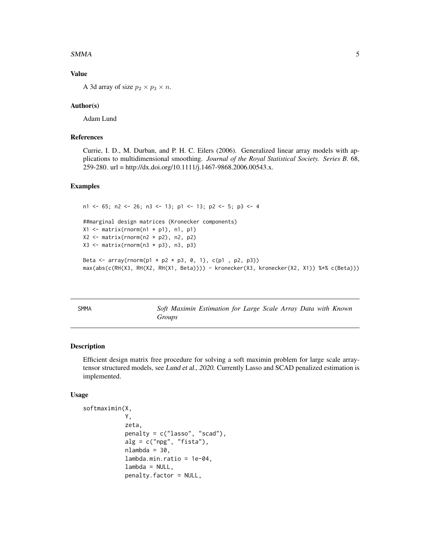#### <span id="page-4-0"></span> $SMMA$  5

#### Value

A 3d array of size  $p_2 \times p_3 \times n$ .

#### Author(s)

Adam Lund

#### References

Currie, I. D., M. Durban, and P. H. C. Eilers (2006). Generalized linear array models with applications to multidimensional smoothing. *Journal of the Royal Statistical Society. Series B*. 68, 259-280. url = http://dx.doi.org/10.1111/j.1467-9868.2006.00543.x.

#### Examples

```
n1 <- 65; n2 <- 26; n3 <- 13; p1 <- 13; p2 <- 5; p3 <- 4
##marginal design matrices (Kronecker components)
X1 \leq matrix(rnorm(n1 * p1), n1, p1)
X2 \le - matrix(rnorm(n2 * p2), n2, p2)
X3 \leftarrow matrix(rnorm(n3 * p3), n3, p3)Beta <- array(rnorm(p1 * p2 * p3, 0, 1), c(p1, p2, p3))
max(abs(c(RH(X3, RH(X2, RH(X1, Beta)))) - kronecker(X3, kronecker(X2, X1)) %*% c(Beta)))
```
SMMA *Soft Maximin Estimation for Large Scale Array Data with Known Groups*

#### Description

Efficient design matrix free procedure for solving a soft maximin problem for large scale arraytensor structured models, see Lund et al., 2020. Currently Lasso and SCAD penalized estimation is implemented.

#### Usage

```
softmaximin(X,
            Y,
            zeta,
            penalty = c("lasso", "scad"),
            alg = c("npg", "fista"),nlambda = 30,
            lambda.min.ratio = 1e-04,
            lambda = NULL,penalty.factor = NULL,
```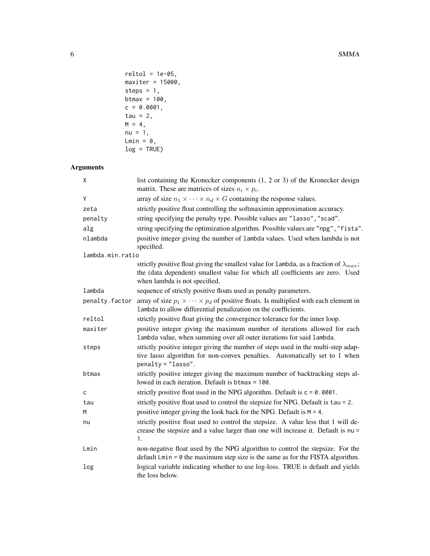```
reltol = 1e-05,maxiter = 15000,steps = 1,
btmax = 100,
c = 0.0001,tau = 2,
M = 4,nu = 1,Lmin = 0,
log = TRUE)
```
#### Arguments

| X                | list containing the Kronecker components (1, 2 or 3) of the Kronecker design<br>matrix. These are matrices of sizes $n_i \times p_i$ .                                                                             |
|------------------|--------------------------------------------------------------------------------------------------------------------------------------------------------------------------------------------------------------------|
| Υ                | array of size $n_1 \times \cdots \times n_d \times G$ containing the response values.                                                                                                                              |
| zeta             | strictly positive float controlling the softmaximin approximation accuracy.                                                                                                                                        |
| penalty          | string specifying the penalty type. Possible values are "lasso", "scad".                                                                                                                                           |
| alg              | string specifying the optimization algorithm. Possible values are "npg", "fista".                                                                                                                                  |
| nlambda          | positive integer giving the number of lambda values. Used when lambda is not<br>specified.                                                                                                                         |
| lambda.min.ratio |                                                                                                                                                                                                                    |
|                  | strictly positive float giving the smallest value for lambda, as a fraction of $\lambda_{max}$ ;<br>the (data dependent) smallest value for which all coefficients are zero. Used<br>when lambda is not specified. |
| lambda           | sequence of strictly positive floats used as penalty parameters.                                                                                                                                                   |
| penalty.factor   | array of size $p_1 \times \cdots \times p_d$ of positive floats. Is multiplied with each element in<br>lambda to allow differential penalization on the coefficients.                                              |
| reltol           | strictly positive float giving the convergence tolerance for the inner loop.                                                                                                                                       |
| maxiter          | positive integer giving the maximum number of iterations allowed for each<br>lambda value, when summing over all outer iterations for said lambda.                                                                 |
| steps            | strictly positive integer giving the number of steps used in the multi-step adap-<br>tive lasso algorithm for non-convex penalties. Automatically set to 1 when<br>$penalty = "lasso".$                            |
| btmax            | strictly positive integer giving the maximum number of backtracking steps al-<br>lowed in each iteration. Default is btmax = 100.                                                                                  |
| c                | strictly positive float used in the NPG algorithm. Default is $c = 0.0001$ .                                                                                                                                       |
| tau              | strictly positive float used to control the stepsize for NPG. Default is tau = 2.                                                                                                                                  |
| M                | positive integer giving the look back for the NPG. Default is $M = 4$ .                                                                                                                                            |
| nu               | strictly positive float used to control the stepsize. A value less that 1 will de-<br>crease the stepsize and a value larger than one will increase it. Default is nu =<br>1.                                      |
| Lmin             | non-negative float used by the NPG algorithm to control the stepsize. For the<br>default $Lmin = 0$ the maximum step size is the same as for the FISTA algorithm.                                                  |
| log              | logical variable indicating whether to use log-loss. TRUE is default and yields<br>the loss below.                                                                                                                 |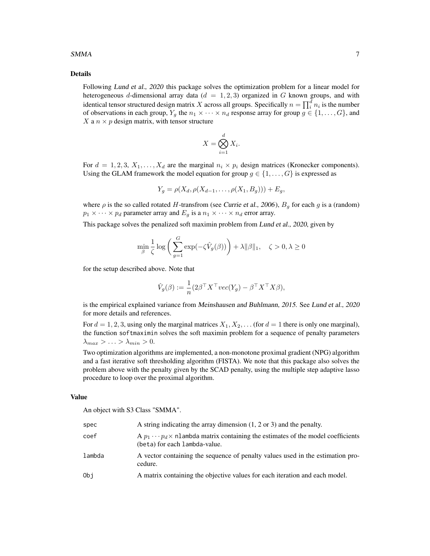#### $SMMA$  7

#### Details

Following Lund et al., 2020 this package solves the optimization problem for a linear model for heterogeneous d-dimensional array data ( $d = 1, 2, 3$ ) organized in G known groups, and with identical tensor structured design matrix  $X$  across all groups. Specifically  $n=\prod_i^d n_i$  is the number of observations in each group,  $Y_g$  the  $n_1 \times \cdots \times n_d$  response array for group  $g \in \{1, \ldots, G\}$ , and X a  $n \times p$  design matrix, with tensor structure

$$
X = \bigotimes_{i=1}^{d} X_i.
$$

For  $d = 1, 2, 3, X_1, \ldots, X_d$  are the marginal  $n_i \times p_i$  design matrices (Kronecker components). Using the GLAM framework the model equation for group  $g \in \{1, \ldots, G\}$  is expressed as

$$
Y_g = \rho(X_d, \rho(X_{d-1}, \ldots, \rho(X_1, B_g))) + E_g,
$$

where  $\rho$  is the so called rotated H-transfrom (see Currie et al., 2006),  $B<sub>q</sub>$  for each g is a (random)  $p_1 \times \cdots \times p_d$  parameter array and  $E_q$  is a  $n_1 \times \cdots \times n_d$  error array.

This package solves the penalized soft maximin problem from Lund et al., 2020, given by

$$
\min_{\beta} \frac{1}{\zeta} \log \bigg( \sum_{g=1}^G \exp(-\zeta \hat{V}_g(\beta)) \bigg) + \lambda \|\beta\|_1, \quad \zeta > 0, \lambda \ge 0
$$

for the setup described above. Note that

$$
\hat{V}_g(\beta) := \frac{1}{n} (2\beta^\top X^\top vec(Y_g) - \beta^\top X^\top X \beta),
$$

is the empirical explained variance from Meinshausen and Buhlmann, 2015. See Lund et al., 2020 for more details and references.

For  $d = 1, 2, 3$ , using only the marginal matrices  $X_1, X_2, \ldots$  (for  $d = 1$  there is only one marginal), the function softmaximin solves the soft maximin problem for a sequence of penalty parameters  $\lambda_{max} > \ldots > \lambda_{min} > 0.$ 

Two optimization algorithms are implemented, a non-monotone proximal gradient (NPG) algorithm and a fast iterative soft thresholding algorithm (FISTA). We note that this package also solves the problem above with the penalty given by the SCAD penalty, using the multiple step adaptive lasso procedure to loop over the proximal algorithm.

#### Value

An object with S3 Class "SMMA".

| spec   | A string indicating the array dimension $(1, 2 \text{ or } 3)$ and the penalty.                                              |
|--------|------------------------------------------------------------------------------------------------------------------------------|
| coef   | A $p_1 \cdots p_d \times$ nlambda matrix containing the estimates of the model coefficients<br>(beta) for each lambda-value. |
| lambda | A vector containing the sequence of penalty values used in the estimation pro-<br>cedure.                                    |
| Obj    | A matrix containing the objective values for each iteration and each model.                                                  |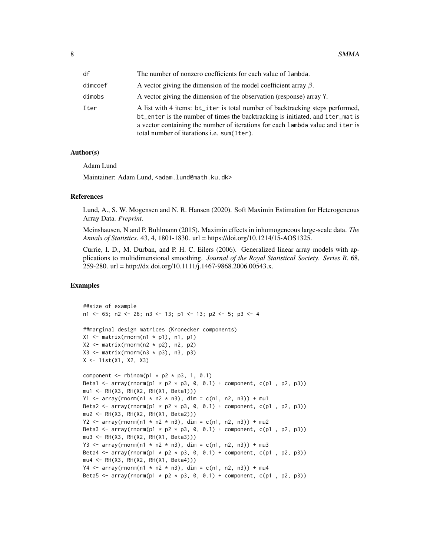| df      | The number of nonzero coefficients for each value of lambda.                                                                                                                                                                                                                                     |
|---------|--------------------------------------------------------------------------------------------------------------------------------------------------------------------------------------------------------------------------------------------------------------------------------------------------|
| dimcoef | A vector giving the dimension of the model coefficient array $\beta$ .                                                                                                                                                                                                                           |
| dimobs  | A vector giving the dimension of the observation (response) array Y.                                                                                                                                                                                                                             |
| Iter    | A list with 4 items: bt_iter is total number of backtracking steps performed,<br>bt_enter is the number of times the backtracking is initiated, and iter_mat is<br>a vector containing the number of iterations for each lambda value and iter is<br>total number of iterations i.e. sum (Iter). |

#### Author(s)

Adam Lund

Maintainer: Adam Lund, <adam.lund@math.ku.dk>

#### References

Lund, A., S. W. Mogensen and N. R. Hansen (2020). Soft Maximin Estimation for Heterogeneous Array Data. *Preprint*.

Meinshausen, N and P. Buhlmann (2015). Maximin effects in inhomogeneous large-scale data. *The Annals of Statistics*. 43, 4, 1801-1830. url = https://doi.org/10.1214/15-AOS1325.

Currie, I. D., M. Durban, and P. H. C. Eilers (2006). Generalized linear array models with applications to multidimensional smoothing. *Journal of the Royal Statistical Society. Series B*. 68, 259-280. url = http://dx.doi.org/10.1111/j.1467-9868.2006.00543.x.

#### Examples

```
##size of example
n1 <- 65; n2 <- 26; n3 <- 13; p1 <- 13; p2 <- 5; p3 <- 4
##marginal design matrices (Kronecker components)
X1 \leq - matrix(rnorm(n1 * p1), n1, p1)
X2 \le - matrix(rnorm(n2 * p2), n2, p2)
X3 \leftarrow matrix(rnorm(n3 * p3), n3, p3)X <- list(X1, X2, X3)
component \le rbinom(p1 * p2 * p3, 1, 0.1)
Beta1 <- array(rnorm(p1 * p2 * p3, 0, 0.1) + component, c(p1, p2, p3))
mu1 <- RH(X3, RH(X2, RH(X1, Beta1)))
Y1 <- array(rnorm(n1 * n2 * n3), dim = c(n1, n2, n3)) + mu1Beta2 <- array(rnorm(p1 * p2 * p3, 0, 0.1) + component, c(p1, p2, p3))
mu2 <- RH(X3, RH(X2, RH(X1, Beta2)))
Y2 <- array(rnorm(n1 * n2 * n3), dim = c(n1, n2, n3)) + mu2Beta3 <- array(rnorm(p1 * p2 * p3, 0, 0.1) + component, c(p1, p2, p3))
mu3 <- RH(X3, RH(X2, RH(X1, Beta3)))
Y3 <- array(rnorm(n1 * n2 * n3), dim = c(n1, n2, n3)) + mu3
Beta4 <- array(rnorm(p1 * p2 * p3, 0, 0.1) + component, c(p1, p2, p3))
mu4 <- RH(X3, RH(X2, RH(X1, Beta4)))
Y4 <- array(rnorm(n1 * n2 * n3), dim = c(n1, n2, n3)) + mu4
Beta5 <- array(rnorm(p1 \times p2 \times p3, 0, 0.1) + component, c(p1, p2, p3))
```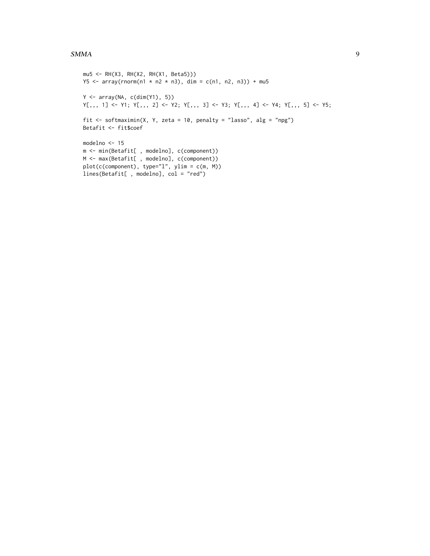#### $SMMA$  9

```
mu5 <- RH(X3, RH(X2, RH(X1, Beta5)))
Y5 <- array(rnorm(n1 * n2 * n3), dim = c(n1, n2, n3)) + mu5Y <- array(NA, c(dim(Y1), 5))
Y[\,,\,,\,1] <- Y1; Y[\,,\,,\,2] <- Y2; Y[\,,\,,\,3] <- Y3; Y[\,,\,,\,4] <- Y4; Y[\,,\,,\,5] <- Y5;
fit \le softmaximin(X, Y, zeta = 10, penalty = "lasso", alg = "npg")
Betafit <- fit$coef
modelno <- 15
m <- min(Betafit[ , modelno], c(component))
M <- max(Betafit[ , modelno], c(component))
plot(c(component), type="l", ylim = c(m, M))
lines(Betafit[ , modelno], col = "red")
```